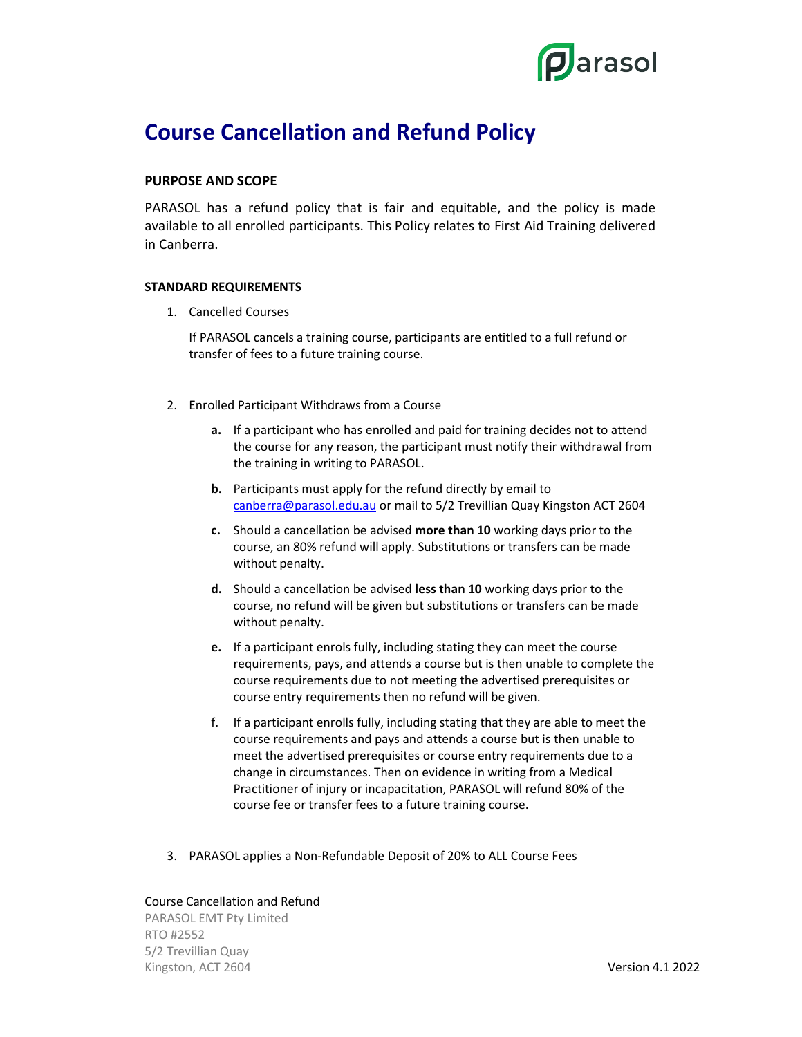

# Course Cancellation and Refund Policy

### PURPOSE AND SCOPE

PARASOL has a refund policy that is fair and equitable, and the policy is made available to all enrolled participants. This Policy relates to First Aid Training delivered in Canberra.

#### STANDARD REQUIREMENTS

1. Cancelled Courses

If PARASOL cancels a training course, participants are entitled to a full refund or transfer of fees to a future training course.

- 2. Enrolled Participant Withdraws from a Course
	- a. If a participant who has enrolled and paid for training decides not to attend the course for any reason, the participant must notify their withdrawal from the training in writing to PARASOL.
	- b. Participants must apply for the refund directly by email to canberra@parasol.edu.au or mail to 5/2 Trevillian Quay Kingston ACT 2604
	- c. Should a cancellation be advised more than 10 working days prior to the course, an 80% refund will apply. Substitutions or transfers can be made without penalty.
	- d. Should a cancellation be advised less than 10 working days prior to the course, no refund will be given but substitutions or transfers can be made without penalty.
	- e. If a participant enrols fully, including stating they can meet the course requirements, pays, and attends a course but is then unable to complete the course requirements due to not meeting the advertised prerequisites or course entry requirements then no refund will be given.
	- f. If a participant enrolls fully, including stating that they are able to meet the course requirements and pays and attends a course but is then unable to meet the advertised prerequisites or course entry requirements due to a change in circumstances. Then on evidence in writing from a Medical Practitioner of injury or incapacitation, PARASOL will refund 80% of the course fee or transfer fees to a future training course.
- 3. PARASOL applies a Non-Refundable Deposit of 20% to ALL Course Fees

#### Course Cancellation and Refund

PARASOL EMT Pty Limited RTO #2552 5/2 Trevillian Quay Kingston, ACT 2604 Version 4.1 2022